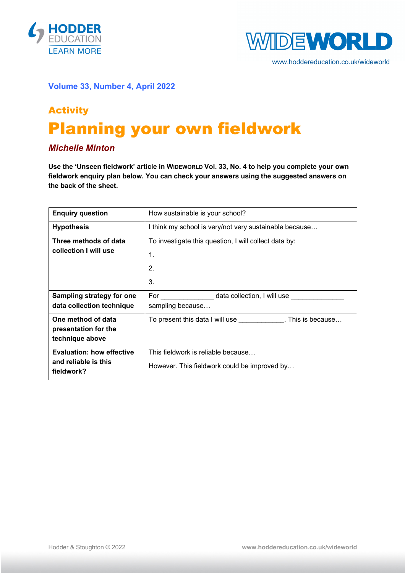



www.hoddereducation.co.uk/wideworld

#### **Volume 33, Number 4, April 2022**

# Activity Planning your own fieldwork

#### *Michelle Minton*

**Use the 'Unseen fieldwork' article in WIDEWORLD Vol. 33, No. 4 to help you complete your own fieldwork enquiry plan below. You can check your answers using the suggested answers on the back of the sheet.**

| <b>Enquiry question</b>                                                | How sustainable is your school?                                                                                                                                                                                                                                                   |
|------------------------------------------------------------------------|-----------------------------------------------------------------------------------------------------------------------------------------------------------------------------------------------------------------------------------------------------------------------------------|
| <b>Hypothesis</b>                                                      | I think my school is very/not very sustainable because                                                                                                                                                                                                                            |
| Three methods of data<br>collection I will use                         | To investigate this question, I will collect data by:<br>1.<br>$\mathbf{2}$<br>3.                                                                                                                                                                                                 |
| <b>Sampling strategy for one</b><br>data collection technique          | data collection, I will use<br>For the contract of the contract of the contract of the contract of the contract of the contract of the contract of the contract of the contract of the contract of the contract of the contract of the contract of the contra<br>sampling because |
| One method of data<br>presentation for the<br>technique above          | To present this data I will use This is because                                                                                                                                                                                                                                   |
| <b>Evaluation: how effective</b><br>and reliable is this<br>fieldwork? | This fieldwork is reliable because<br>However. This fieldwork could be improved by                                                                                                                                                                                                |